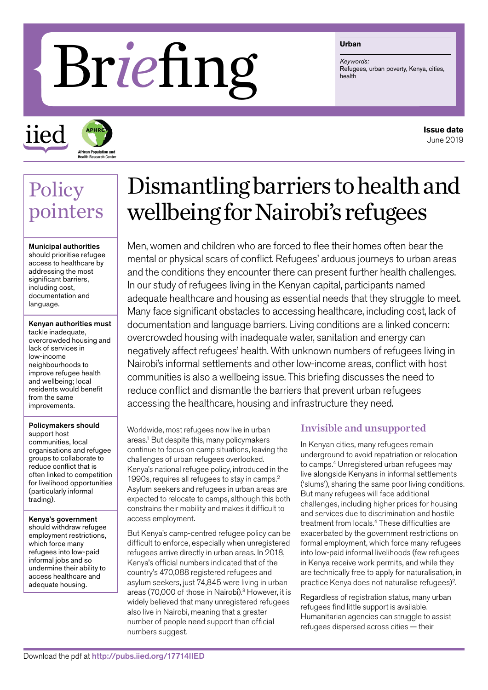# Refingently Refuge

#### **Urban**

*Keywords:*

iied **African Population and<br>Health Research Cente** 

**Issue date** June 2019

### Policy pointers

Municipal authorities should prioritise refugee access to healthcare by addressing the most significant barriers, including cost, documentation and language.

Kenyan authorities must tackle inadequate, overcrowded housing and lack of services in low-income neighbourhoods to improve refugee health and wellbeing; local residents would benefit from the same improvements.

#### Policymakers should

support host communities, local organisations and refugee groups to collaborate to reduce conflict that is often linked to competition for livelihood opportunities (particularly informal trading).

Kenya's government should withdraw refugee employment restrictions, which force many refugees into low-paid informal jobs and so undermine their ability to access healthcare and adequate housing.

## Dismantling barriers to health and wellbeing for Nairobi's refugees

Men, women and children who are forced to flee their homes often bear the mental or physical scars of conflict. Refugees' arduous journeys to urban areas and the conditions they encounter there can present further health challenges. In our study of refugees living in the Kenyan capital, participants named adequate healthcare and housing as essential needs that they struggle to meet. Many face significant obstacles to accessing healthcare, including cost, lack of documentation and language barriers. Living conditions are a linked concern: overcrowded housing with inadequate water, sanitation and energy can negatively affect refugees' health. With unknown numbers of refugees living in Nairobi's informal settlements and other low-income areas, conflict with host communities is also a wellbeing issue. This briefing discusses the need to reduce conflict and dismantle the barriers that prevent urban refugees accessing the healthcare, housing and infrastructure they need.

Worldwide, most refugees now live in urban areas.1 But despite this, many policymakers continue to focus on camp situations, leaving the challenges of urban refugees overlooked. Kenya's national refugee policy, introduced in the 1990s, requires all refugees to stay in camps.2 Asylum seekers and refugees in urban areas are expected to relocate to camps, although this both constrains their mobility and makes it difficult to access employment.

But Kenya's camp-centred refugee policy can be difficult to enforce, especially when unregistered refugees arrive directly in urban areas. In 2018, Kenya's official numbers indicated that of the country's 470,088 registered refugees and asylum seekers, just 74,845 were living in urban areas (70,000 of those in Nairobi).<sup>3</sup> However, it is widely believed that many unregistered refugees also live in Nairobi, meaning that a greater number of people need support than official numbers suggest.

#### Invisible and unsupported

In Kenyan cities, many refugees remain underground to avoid repatriation or relocation to camps.<sup>4</sup> Unregistered urban refugees may live alongside Kenyans in informal settlements ('slums'), sharing the same poor living conditions. But many refugees will face additional challenges, including higher prices for housing and services due to discrimination and hostile treatment from locals.4 These difficulties are exacerbated by the government restrictions on formal employment, which force many refugees into low-paid informal livelihoods (few refugees in Kenya receive work permits, and while they are technically free to apply for naturalisation, in practice Kenya does not naturalise refugees)2.

Regardless of registration status, many urban refugees find little support is available. Humanitarian agencies can struggle to assist refugees dispersed across cities — their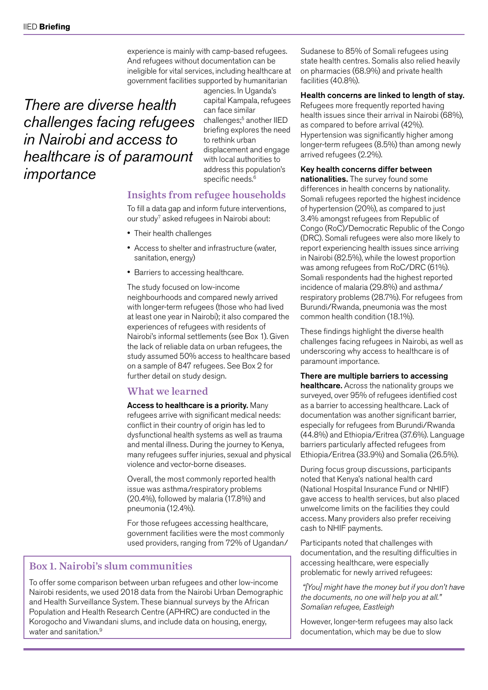experience is mainly with camp-based refugees. And refugees without documentation can be ineligible for vital services, including healthcare at government facilities supported by humanitarian

*There are diverse health challenges facing refugees in Nairobi and access to healthcare is of paramount importance*

agencies. In Uganda's capital Kampala, refugees can face similar challenges;<sup>5</sup> another IIED briefing explores the need to rethink urban displacement and engage with local authorities to address this population's specific needs.<sup>6</sup>

#### Insights from refugee households

To fill a data gap and inform future interventions, our study7 asked refugees in Nairobi about:

- Their health challenges
- Access to shelter and infrastructure (water, sanitation, energy)
- Barriers to accessing healthcare.

The study focused on low-income neighbourhoods and compared newly arrived with longer-term refugees (those who had lived at least one year in Nairobi); it also compared the experiences of refugees with residents of Nairobi's informal settlements (see Box 1). Given the lack of reliable data on urban refugees, the study assumed 50% access to healthcare based on a sample of 847 refugees. See Box 2 for further detail on study design.

#### What we learned

Access to healthcare is a priority. Many refugees arrive with significant medical needs: conflict in their country of origin has led to dysfunctional health systems as well as trauma and mental illness. During the journey to Kenya, many refugees suffer injuries, sexual and physical violence and vector-borne diseases.

Overall, the most commonly reported health issue was asthma/respiratory problems (20.4%), followed by malaria (17.8%) and pneumonia (12.4%).

For those refugees accessing healthcare, government facilities were the most commonly used providers, ranging from 72% of Ugandan/

#### Box 1. Nairobi's slum communities

To offer some comparison between urban refugees and other low-income Nairobi residents, we used 2018 data from the Nairobi Urban Demographic and Health Surveillance System. These biannual surveys by the African Population and Health Research Centre (APHRC) are conducted in the Korogocho and Viwandani slums, and include data on housing, energy, water and sanitation.<sup>9</sup>

Sudanese to 85% of Somali refugees using state health centres. Somalis also relied heavily on pharmacies (68.9%) and private health facilities (40.8%).

#### Health concerns are linked to length of stay.

Refugees more frequently reported having health issues since their arrival in Nairobi (68%), as compared to before arrival (42%). Hypertension was significantly higher among longer-term refugees (8.5%) than among newly arrived refugees (2.2%).

#### Key health concerns differ between

nationalities. The survey found some differences in health concerns by nationality. Somali refugees reported the highest incidence of hypertension (20%), as compared to just 3.4% amongst refugees from Republic of Congo (RoC)/Democratic Republic of the Congo (DRC). Somali refugees were also more likely to report experiencing health issues since arriving in Nairobi (82.5%), while the lowest proportion was among refugees from RoC/DRC (61%). Somali respondents had the highest reported incidence of malaria (29.8%) and asthma/ respiratory problems (28.7%). For refugees from Burundi/Rwanda, pneumonia was the most common health condition (18.1%).

These findings highlight the diverse health challenges facing refugees in Nairobi, as well as underscoring why access to healthcare is of paramount importance.

#### There are multiple barriers to accessing

healthcare. Across the nationality groups we surveyed, over 95% of refugees identified cost as a barrier to accessing healthcare. Lack of documentation was another significant barrier, especially for refugees from Burundi/Rwanda (44.8%) and Ethiopia/Eritrea (37.6%). Language barriers particularly affected refugees from Ethiopia/Eritrea (33.9%) and Somalia (26.5%).

During focus group discussions, participants noted that Kenya's national health card (National Hospital Insurance Fund or NHIF) gave access to health services, but also placed unwelcome limits on the facilities they could access. Many providers also prefer receiving cash to NHIF payments.

Participants noted that challenges with documentation, and the resulting difficulties in accessing healthcare, were especially problematic for newly arrived refugees:

 *"[You] might have the money but if you don't have the documents, no one will help you at all." Somalian refugee, Eastleigh*

However, longer-term refugees may also lack documentation, which may be due to slow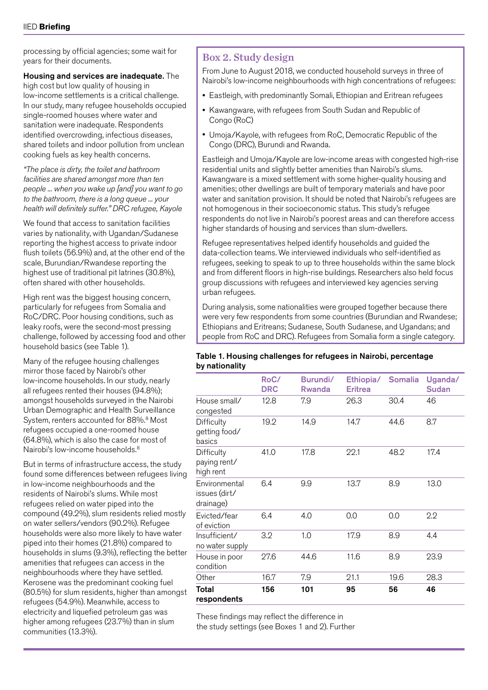processing by official agencies; some wait for years for their documents.

#### Housing and services are inadequate. The

high cost but low quality of housing in low-income settlements is a critical challenge. In our study, many refugee households occupied single-roomed houses where water and sanitation were inadequate. Respondents identified overcrowding, infectious diseases, shared toilets and indoor pollution from unclean cooking fuels as key health concerns.

*"The place is dirty, the toilet and bathroom facilities are shared amongst more than ten people ... when you wake up [and] you want to go to the bathroom, there is a long queue ... your health will definitely suffer." DRC refugee, Kayole*

We found that access to sanitation facilities varies by nationality, with Ugandan/Sudanese reporting the highest access to private indoor flush toilets (56.9%) and, at the other end of the scale, Burundian/Rwandese reporting the highest use of traditional pit latrines (30.8%), often shared with other households.

High rent was the biggest housing concern, particularly for refugees from Somalia and RoC/DRC. Poor housing conditions, such as leaky roofs, were the second-most pressing challenge, followed by accessing food and other household basics (see Table 1).

Many of the refugee housing challenges mirror those faced by Nairobi's other low-income households. In our study, nearly all refugees rented their houses (94.8%); amongst households surveyed in the Nairobi Urban Demographic and Health Surveillance System, renters accounted for 88%.<sup>8</sup> Most refugees occupied a one-roomed house (64.8%), which is also the case for most of Nairobi's low-income households.<sup>8</sup>

But in terms of infrastructure access, the study found some differences between refugees living in low-income neighbourhoods and the residents of Nairobi's slums. While most refugees relied on water piped into the compound (49.2%), slum residents relied mostly on water sellers/vendors (90.2%). Refugee households were also more likely to have water piped into their homes (21.8%) compared to households in slums (9.3%), reflecting the better amenities that refugees can access in the neighbourhoods where they have settled. Kerosene was the predominant cooking fuel (80.5%) for slum residents, higher than amongst refugees (54.9%). Meanwhile, access to electricity and liquefied petroleum gas was higher among refugees (23.7%) than in slum communities (13.3%).

#### Box 2. Study design

From June to August 2018, we conducted household surveys in three of Nairobi's low-income neighbourhoods with high concentrations of refugees:

- Eastleigh, with predominantly Somali, Ethiopian and Eritrean refugees
- Kawangware, with refugees from South Sudan and Republic of Congo (RoC)
- Umoja/Kayole, with refugees from RoC, Democratic Republic of the Congo (DRC), Burundi and Rwanda.

Eastleigh and Umoja/Kayole are low-income areas with congested high-rise residential units and slightly better amenities than Nairobi's slums. Kawangware is a mixed settlement with some higher-quality housing and amenities; other dwellings are built of temporary materials and have poor water and sanitation provision. It should be noted that Nairobi's refugees are not homogenous in their socioeconomic status. This study's refugee respondents do not live in Nairobi's poorest areas and can therefore access higher standards of housing and services than slum-dwellers.

Refugee representatives helped identify households and guided the data-collection teams. We interviewed individuals who self-identified as refugees, seeking to speak to up to three households within the same block and from different floors in high-rise buildings. Researchers also held focus group discussions with refugees and interviewed key agencies serving urban refugees.

During analysis, some nationalities were grouped together because there were very few respondents from some countries (Burundian and Rwandese; Ethiopians and Eritreans; Sudanese, South Sudanese, and Ugandans; and people from RoC and DRC). Refugees from Somalia form a single category.

#### Table 1. Housing challenges for refugees in Nairobi, percentage by nationality

|                                             | RoC/<br><b>DRC</b> | Burundi/<br>Rwanda | Ethiopia/<br><b>Eritrea</b> | <b>Somalia</b> | Uganda/<br><b>Sudan</b> |
|---------------------------------------------|--------------------|--------------------|-----------------------------|----------------|-------------------------|
| House small/<br>congested                   | 12.8               | 7.9                | 26.3                        | 30.4           | 46                      |
| Difficulty<br>getting food/<br>basics       | 19.2               | 14.9               | 14.7                        | 44.6           | 8.7                     |
| Difficulty<br>paying rent/<br>high rent     | 41.0               | 17.8               | 22.1                        | 48.2           | 17.4                    |
| Environmental<br>issues (dirt/<br>drainage) | 6.4                | 9.9                | 13.7                        | 8.9            | 13.0                    |
| Evicted/fear<br>of eviction                 | 6.4                | 4.0                | 0.0                         | 0.0            | 2.2                     |
| Insufficient/<br>no water supply            | 3.2                | 1.0                | 17.9                        | 8.9            | 4.4                     |
| House in poor<br>condition                  | 27.6               | 44.6               | 11.6                        | 8.9            | 23.9                    |
| Other                                       | 16.7               | 7.9                | 21.1                        | 19.6           | 28.3                    |
| Total<br>respondents                        | 156                | 101                | 95                          | 56             | 46                      |

These findings may reflect the difference in the study settings (see Boxes 1 and 2). Further